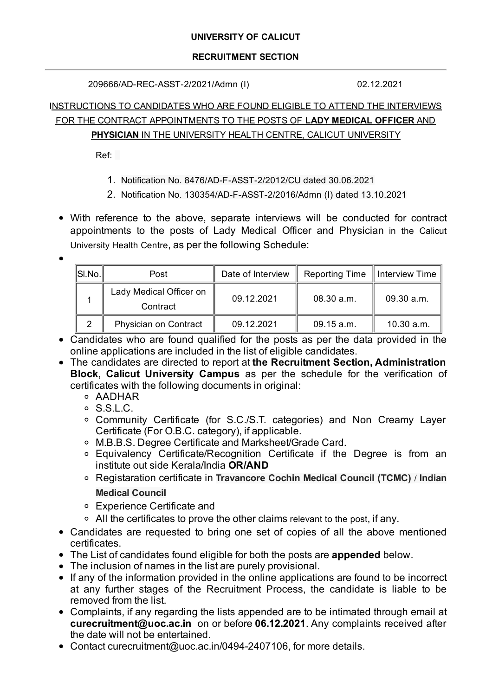### **RECRUITMENT SECTION**

209666/AD-REC-ASST-2/2021/Admn (I) 02.12.2021

## INSTRUCTIONS TO CANDIDATES WHO ARE FOUND ELIGIBLE TO ATTEND THE INTERVIEWS FOR THE CONTRACT APPOINTMENTS TO THE POSTS OF **LADY MEDICAL OFFICER** AND **PHYSICIAN** IN THE UNIVERSITY HEALTH CENTRE, CALICUT UNIVERSITY

Ref:

- 1. Notification No. 8476/AD-F-ASST-2/2012/CU dated 30.06.2021
- 2. Notification No. 130354/AD-F-ASST-2/2016/Admn (I) dated 13.10.2021
- With reference to the above, separate interviews will be conducted for contract appointments to the posts of Lady Medical Officer and Physician in the Calicut University Health Centre, as per the following Schedule:

| $\ $ SI.No. $\ $ | Post                                | Date of Interview | Reporting Time   Interview Time |            |
|------------------|-------------------------------------|-------------------|---------------------------------|------------|
|                  | Lady Medical Officer on<br>Contract | 09.12.2021        | 08.30 a.m.                      | 09.30 a.m. |
|                  | Physician on Contract               | 09.12.2021        | 09.15 a.m.                      | 10.30 a.m. |

- Candidates who are found qualified for the posts as per the data provided in the online applications are included in the list of eligible candidates.
- The candidates are directed to report at **the Recruitment Section, Administration Block, Calicut University Campus** as per the schedule for the verification of certificates with the following documents in original:
	- AADHAR
	- S.S.L.C.
	- Community Certificate (for S.C./S.T. categories) and Non Creamy Layer Certificate (For O.B.C. category), if applicable.
	- M.B.B.S. Degree Certificate and Marksheet/Grade Card.
	- Equivalency Certificate/Recognition Certificate if the Degree is from an institute out side Kerala/India **OR/AND**
	- Registaration certificate in **Travancore Cochin Medical Council (TCMC)** / **Indian Medical Council**
	- Experience Certificate and
	- All the certificates to prove the other claims relevant to the post, if any.
- Candidates are requested to bring one set of copies of all the above mentioned certificates.
- The List of candidates found eligible for both the posts are **appended** below.
- The inclusion of names in the list are purely provisional.
- If any of the information provided in the online applications are found to be incorrect at any further stages of the Recruitment Process, the candidate is liable to be removed from the list.
- Complaints, if any regarding the lists appended are to be intimated through email at **curecruitment@uoc.ac.in** on or before **06.12.2021**. Any complaints received after the date will not be entertained.
- Contact curecruitment@uoc.ac.in/0494-2407106, for more details.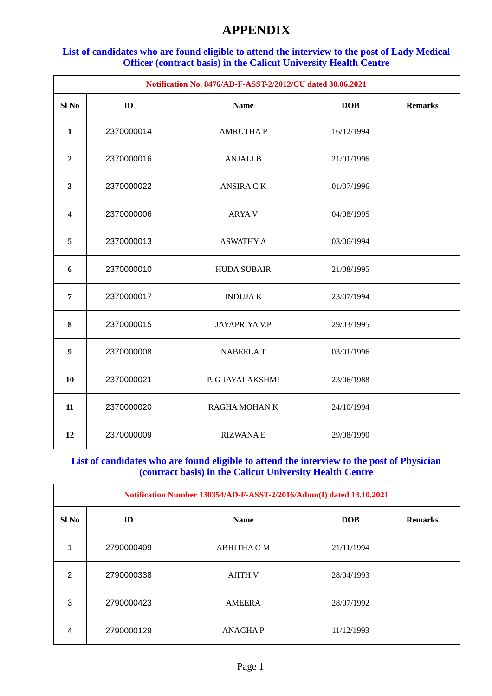# **APPENDIX**

### **List of candidates who are found eligible to attend the interview to the post of Lady Medical Officer (contract basis) in the Calicut University Health Centre**

| Notification No. 8476/AD-F-ASST-2/2012/CU dated 30.06.2021 |            |                      |            |                |
|------------------------------------------------------------|------------|----------------------|------------|----------------|
| Sl <sub>No</sub>                                           | ID         | <b>Name</b>          | <b>DOB</b> | <b>Remarks</b> |
| $\mathbf{1}$                                               | 2370000014 | <b>AMRUTHAP</b>      | 16/12/1994 |                |
| $\overline{2}$                                             | 2370000016 | <b>ANJALI B</b>      | 21/01/1996 |                |
| 3                                                          | 2370000022 | <b>ANSIRA CK</b>     | 01/07/1996 |                |
| $\overline{\mathbf{4}}$                                    | 2370000006 | <b>ARYA V</b>        | 04/08/1995 |                |
| 5                                                          | 2370000013 | <b>ASWATHY A</b>     | 03/06/1994 |                |
| $6\phantom{1}6$                                            | 2370000010 | <b>HUDA SUBAIR</b>   | 21/08/1995 |                |
| $\overline{7}$                                             | 2370000017 | <b>INDUJAK</b>       | 23/07/1994 |                |
| 8                                                          | 2370000015 | <b>JAYAPRIYA V.P</b> | 29/03/1995 |                |
| $\boldsymbol{9}$                                           | 2370000008 | <b>NABEELAT</b>      | 03/01/1996 |                |
| 10                                                         | 2370000021 | P. G JAYALAKSHMI     | 23/06/1988 |                |
| 11                                                         | 2370000020 | RAGHA MOHAN K        | 24/10/1994 |                |
| 12                                                         | 2370000009 | <b>RIZWANAE</b>      | 29/08/1990 |                |

### **List of candidates who are found eligible to attend the interview to the post of Physician (contract basis) in the Calicut University Health Centre**

| Notification Number 130354/AD-F-ASST-2/2016/Admn(I) dated 13.10.2021 |            |                    |            |                |
|----------------------------------------------------------------------|------------|--------------------|------------|----------------|
| Sl No                                                                | ID         | <b>Name</b>        | <b>DOB</b> | <b>Remarks</b> |
| 1                                                                    | 2790000409 | <b>ABHITHA C M</b> | 21/11/1994 |                |
| $\mathcal{P}$                                                        | 2790000338 | <b>AJITH V</b>     | 28/04/1993 |                |
| 3                                                                    | 2790000423 | <b>AMEERA</b>      | 28/07/1992 |                |
| 4                                                                    | 2790000129 | <b>ANAGHAP</b>     | 11/12/1993 |                |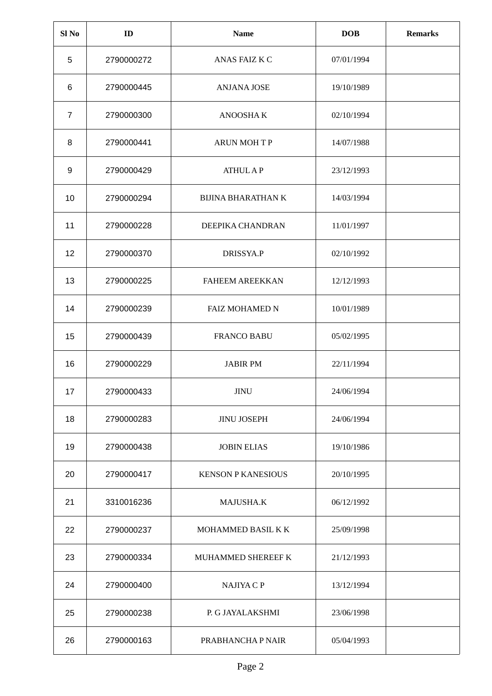| Sl <sub>No</sub> | ID         | <b>Name</b>               | <b>DOB</b> | <b>Remarks</b> |
|------------------|------------|---------------------------|------------|----------------|
| 5                | 2790000272 | ANAS FAIZ K C             | 07/01/1994 |                |
| 6                | 2790000445 | <b>ANJANA JOSE</b>        | 19/10/1989 |                |
| $\overline{7}$   | 2790000300 | ANOOSHA K                 | 02/10/1994 |                |
| 8                | 2790000441 | <b>ARUN MOHTP</b>         | 14/07/1988 |                |
| 9                | 2790000429 | <b>ATHUL AP</b>           | 23/12/1993 |                |
| 10               | 2790000294 | <b>BIJINA BHARATHAN K</b> | 14/03/1994 |                |
| 11               | 2790000228 | DEEPIKA CHANDRAN          | 11/01/1997 |                |
| 12               | 2790000370 | DRISSYA.P                 | 02/10/1992 |                |
| 13               | 2790000225 | <b>FAHEEM AREEKKAN</b>    | 12/12/1993 |                |
| 14               | 2790000239 | <b>FAIZ MOHAMED N</b>     | 10/01/1989 |                |
| 15               | 2790000439 | <b>FRANCO BABU</b>        | 05/02/1995 |                |
| 16               | 2790000229 | <b>JABIR PM</b>           | 22/11/1994 |                |
| 17               | 2790000433 | JINU                      | 24/06/1994 |                |
| 18               | 2790000283 | <b>JINU JOSEPH</b>        | 24/06/1994 |                |
| 19               | 2790000438 | <b>JOBIN ELIAS</b>        | 19/10/1986 |                |
| 20               | 2790000417 | <b>KENSON P KANESIOUS</b> | 20/10/1995 |                |
| 21               | 3310016236 | MAJUSHA.K                 | 06/12/1992 |                |
| 22               | 2790000237 | MOHAMMED BASIL K K        | 25/09/1998 |                |
| 23               | 2790000334 | MUHAMMED SHEREEF K        | 21/12/1993 |                |
| 24               | 2790000400 | NAJIYA C P                | 13/12/1994 |                |
| 25               | 2790000238 | P. G JAYALAKSHMI          | 23/06/1998 |                |
| 26               | 2790000163 | PRABHANCHA P NAIR         | 05/04/1993 |                |